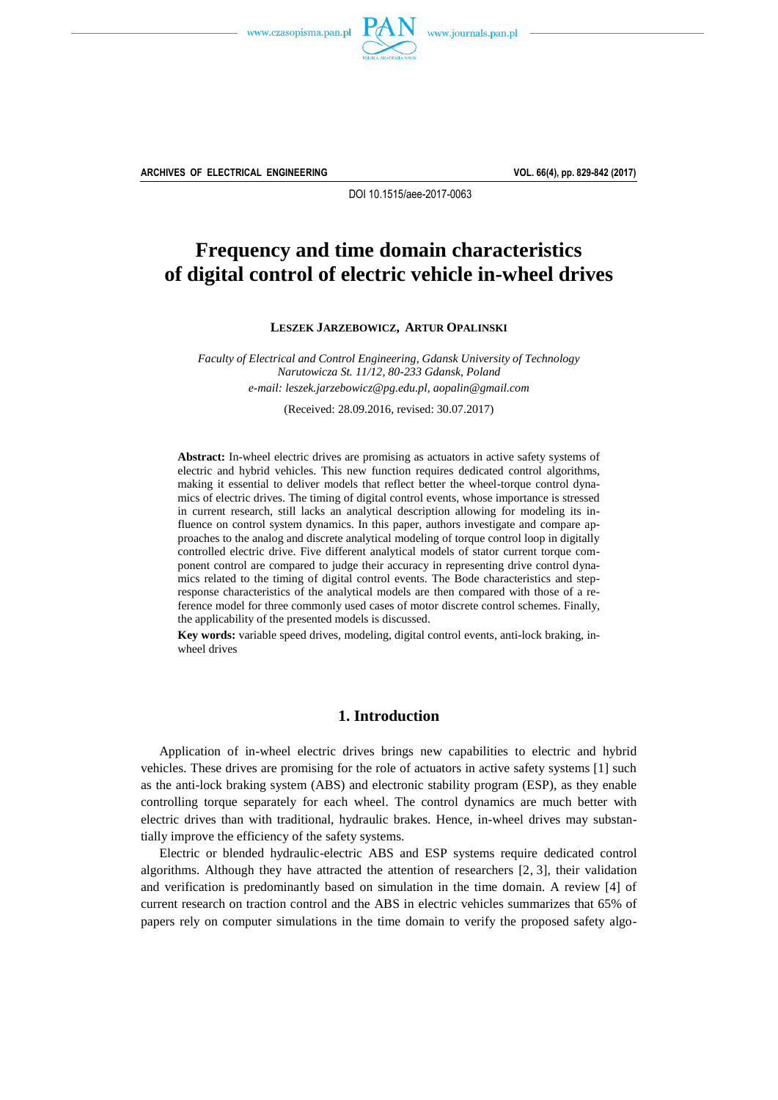



**ARCHIVES OF ELECTRICAL ENGINEERING VOL. 66(4), pp. 829-842 (2017)**

DOI 10.1515/aee-2017-0063

# **Frequency and time domain characteristics of digital control of electric vehicle in-wheel drives**

**LESZEK JARZEBOWICZ, ARTUR OPALINSKI**

*Faculty of Electrical and Control Engineering, Gdansk University of Technology Narutowicza St. 11/12, 80-233 Gdansk, Poland e-mail[: leszek.jarzebowicz@pg.edu.pl,](mailto:leszek.jarzebowicz@pg.gda.pl) [aopalin@gmail.com](mailto:aopalin@gmail.com?Subject=AEE-00462-2017-02)*

(Received: 28.09.2016, revised: 30.07.2017)

**Abstract:** In-wheel electric drives are promising as actuators in active safety systems of electric and hybrid vehicles. This new function requires dedicated control algorithms, making it essential to deliver models that reflect better the wheel-torque control dynamics of electric drives. The timing of digital control events, whose importance is stressed in current research, still lacks an analytical description allowing for modeling its influence on control system dynamics. In this paper, authors investigate and compare approaches to the analog and discrete analytical modeling of torque control loop in digitally controlled electric drive. Five different analytical models of stator current torque component control are compared to judge their accuracy in representing drive control dynamics related to the timing of digital control events. The Bode characteristics and stepresponse characteristics of the analytical models are then compared with those of a reference model for three commonly used cases of motor discrete control schemes. Finally, the applicability of the presented models is discussed.

**Key words:** variable speed drives, modeling, digital control events, anti-lock braking, inwheel drives

# **1. Introduction**

Application of in-wheel electric drives brings new capabilities to electric and hybrid vehicles. These drives are promising for the role of actuators in active safety systems [1] such as the anti-lock braking system (ABS) and electronic stability program (ESP), as they enable controlling torque separately for each wheel. The control dynamics are much better with electric drives than with traditional, hydraulic brakes. Hence, in-wheel drives may substantially improve the efficiency of the safety systems.

Electric or blended hydraulic-electric ABS and ESP systems require dedicated control algorithms. Although they have attracted the attention of researchers [2, 3], their validation and verification is predominantly based on simulation in the time domain. A review [4] of current research on traction control and the ABS in electric vehicles summarizes that 65% of papers rely on computer simulations in the time domain to verify the proposed safety algo-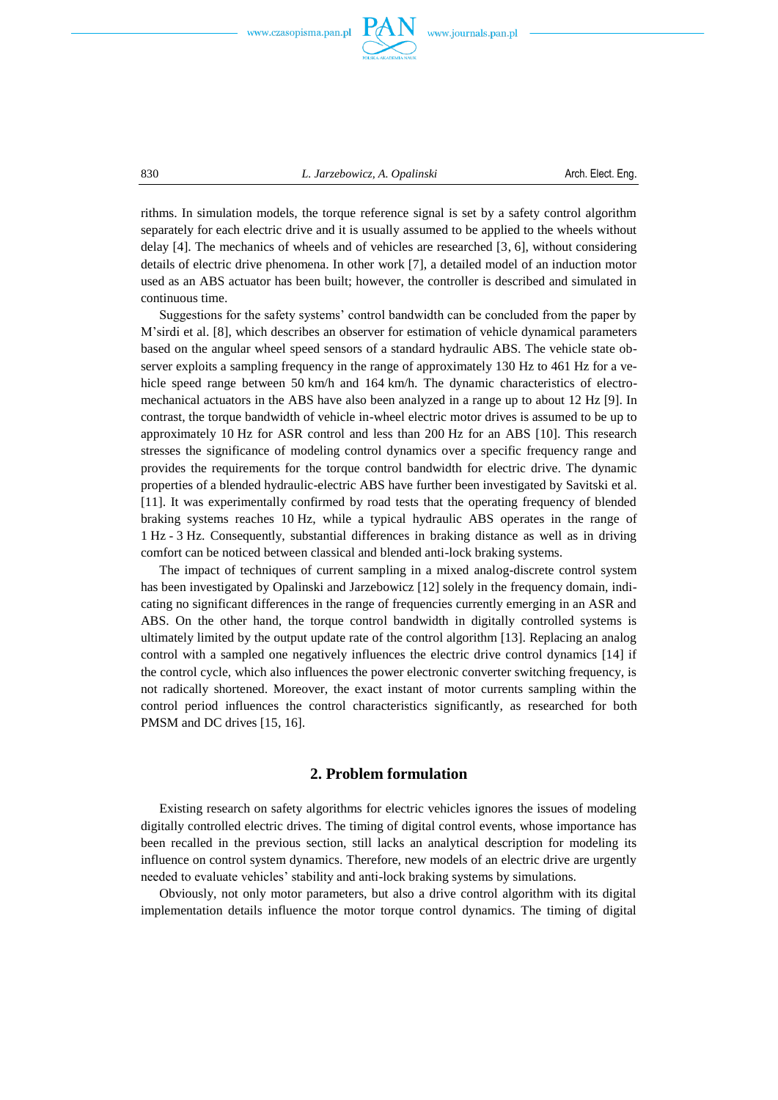

830 *L. Jarzebowicz, A. Opalinski* Arch. Elect. Eng.

rithms. In simulation models, the torque reference signal is set by a safety control algorithm separately for each electric drive and it is usually assumed to be applied to the wheels without delay [4]. The mechanics of wheels and of vehicles are researched [3, 6], without considering details of electric drive phenomena. In other work [7], a detailed model of an induction motor used as an ABS actuator has been built; however, the controller is described and simulated in continuous time.

Suggestions for the safety systems' control bandwidth can be concluded from the paper by M'sirdi et al. [8], which describes an observer for estimation of vehicle dynamical parameters based on the angular wheel speed sensors of a standard hydraulic ABS. The vehicle state observer exploits a sampling frequency in the range of approximately 130 Hz to 461 Hz for a vehicle speed range between 50 km/h and 164 km/h. The dynamic characteristics of electromechanical actuators in the ABS have also been analyzed in a range up to about 12 Hz [9]. In contrast, the torque bandwidth of vehicle in-wheel electric motor drives is assumed to be up to approximately 10 Hz for ASR control and less than 200 Hz for an ABS [10]. This research stresses the significance of modeling control dynamics over a specific frequency range and provides the requirements for the torque control bandwidth for electric drive. The dynamic properties of a blended hydraulic-electric ABS have further been investigated by Savitski et al. [11]. It was experimentally confirmed by road tests that the operating frequency of blended braking systems reaches 10 Hz, while a typical hydraulic ABS operates in the range of 1 Hz 3 Hz. Consequently, substantial differences in braking distance as well as in driving comfort can be noticed between classical and blended anti-lock braking systems.

The impact of techniques of current sampling in a mixed analog-discrete control system has been investigated by Opalinski and Jarzebowicz [12] solely in the frequency domain, indicating no significant differences in the range of frequencies currently emerging in an ASR and ABS. On the other hand, the torque control bandwidth in digitally controlled systems is ultimately limited by the output update rate of the control algorithm [13]. Replacing an analog control with a sampled one negatively influences the electric drive control dynamics [14] if the control cycle, which also influences the power electronic converter switching frequency, is not radically shortened. Moreover, the exact instant of motor currents sampling within the control period influences the control characteristics significantly, as researched for both PMSM and DC drives [15, 16].

### **2. Problem formulation**

Existing research on safety algorithms for electric vehicles ignores the issues of modeling digitally controlled electric drives. The timing of digital control events, whose importance has been recalled in the previous section, still lacks an analytical description for modeling its influence on control system dynamics. Therefore, new models of an electric drive are urgently needed to evaluate vehicles' stability and anti-lock braking systems by simulations.

Obviously, not only motor parameters, but also a drive control algorithm with its digital implementation details influence the motor torque control dynamics. The timing of digital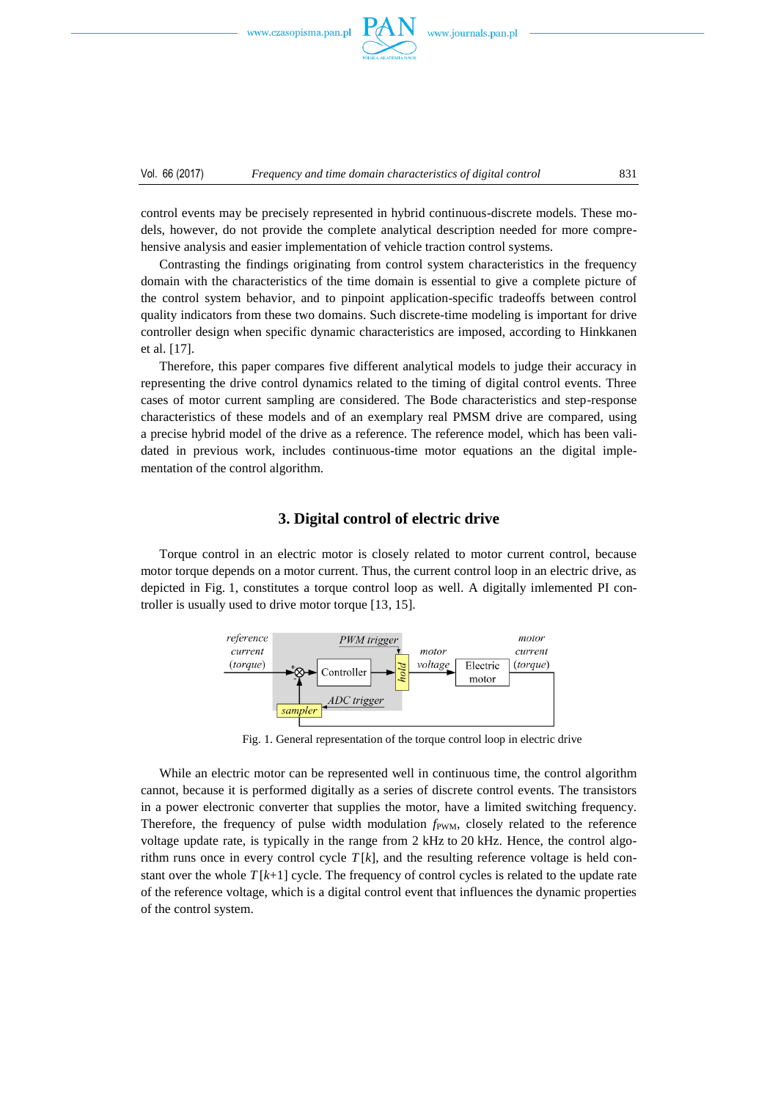

Vol. 66 (2017) *Frequency and time domain characteristics of digital control* 831

control events may be precisely represented in hybrid continuous-discrete models. These models, however, do not provide the complete analytical description needed for more comprehensive analysis and easier implementation of vehicle traction control systems.

Contrasting the findings originating from control system characteristics in the frequency domain with the characteristics of the time domain is essential to give a complete picture of the control system behavior, and to pinpoint application-specific tradeoffs between control quality indicators from these two domains. Such discrete-time modeling is important for drive controller design when specific dynamic characteristics are imposed, according to Hinkkanen et al. [17].

Therefore, this paper compares five different analytical models to judge their accuracy in representing the drive control dynamics related to the timing of digital control events. Three cases of motor current sampling are considered. The Bode characteristics and step-response characteristics of these models and of an exemplary real PMSM drive are compared, using a precise hybrid model of the drive as a reference. The reference model, which has been validated in previous work, includes continuous-time motor equations an the digital implementation of the control algorithm.

## **3. Digital control of electric drive**

Torque control in an electric motor is closely related to motor current control, because motor torque depends on a motor current. Thus, the current control loop in an electric drive, as depicted in Fig. 1, constitutes a torque control loop as well. A digitally imlemented PI controller is usually used to drive motor torque [13, 15].



Fig. 1. General representation of the torque control loop in electric drive

While an electric motor can be represented well in continuous time, the control algorithm cannot, because it is performed digitally as a series of discrete control events. The transistors in a power electronic converter that supplies the motor, have a limited switching frequency. Therefore, the frequency of pulse width modulation  $f_{\text{PWM}}$ , closely related to the reference voltage update rate, is typically in the range from 2 kHz to 20 kHz. Hence, the control algorithm runs once in every control cycle  $T[k]$ , and the resulting reference voltage is held constant over the whole  $T[k+1]$  cycle. The frequency of control cycles is related to the update rate of the reference voltage, which is a digital control event that influences the dynamic properties of the control system.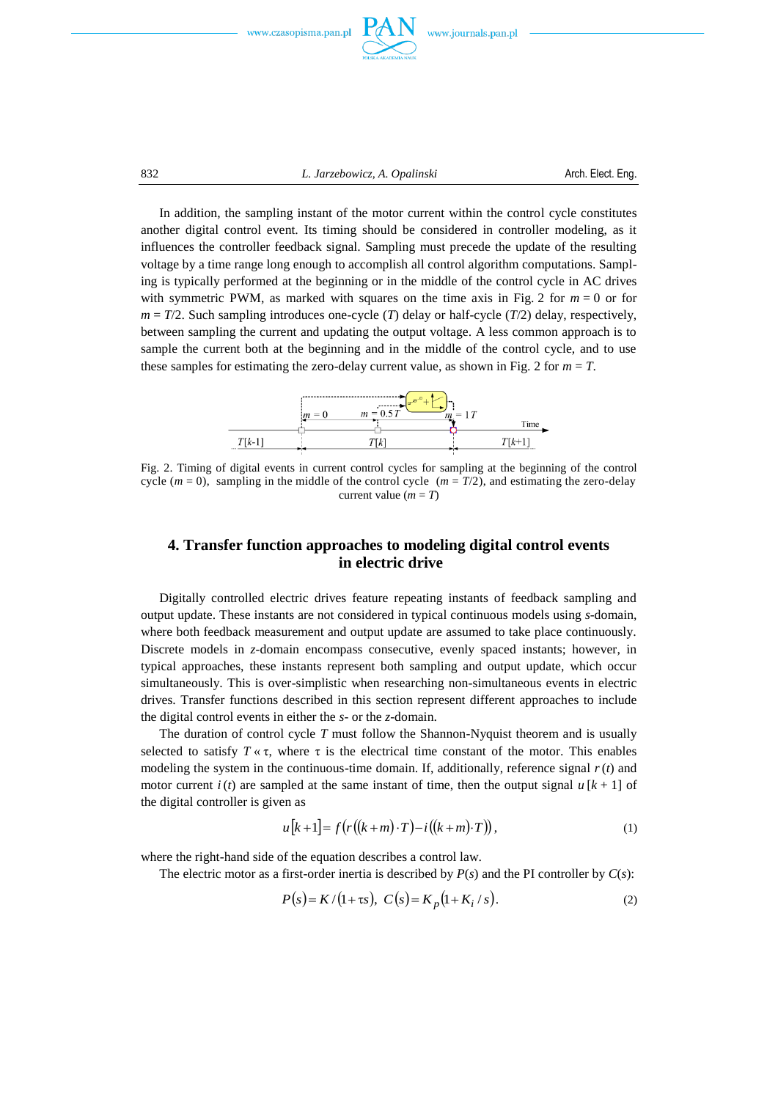

832 *L. Jarzebowicz, A. Opalinski* Arch. Elect. Eng.

In addition, the sampling instant of the motor current within the control cycle constitutes another digital control event. Its timing should be considered in controller modeling, as it influences the controller feedback signal. Sampling must precede the update of the resulting voltage by a time range long enough to accomplish all control algorithm computations. Sampling is typically performed at the beginning or in the middle of the control cycle in AC drives with symmetric PWM, as marked with squares on the time axis in Fig. 2 for  $m = 0$  or for  $m = T/2$ . Such sampling introduces one-cycle (*T*) delay or half-cycle (*T*/2) delay, respectively, between sampling the current and updating the output voltage. A less common approach is to sample the current both at the beginning and in the middle of the control cycle, and to use these samples for estimating the zero-delay current value, as shown in Fig. 2 for  $m = T$ .



Fig. 2. Timing of digital events in current control cycles for sampling at the beginning of the control cycle  $(m = 0)$ , sampling in the middle of the control cycle  $(m = T/2)$ , and estimating the zero-delay current value  $(m = T)$ 

# **4. Transfer function approaches to modeling digital control events in electric drive**

Digitally controlled electric drives feature repeating instants of feedback sampling and output update. These instants are not considered in typical continuous models using *s*-domain, where both feedback measurement and output update are assumed to take place continuously. Discrete models in *z*-domain encompass consecutive, evenly spaced instants; however, in typical approaches, these instants represent both sampling and output update, which occur simultaneously. This is over-simplistic when researching non-simultaneous events in electric drives. Transfer functions described in this section represent different approaches to include the digital control events in either the *s*- or the *z*-domain.

The duration of control cycle *T* must follow the Shannon-Nyquist theorem and is usually selected to satisfy  $T \times \tau$ , where  $\tau$  is the electrical time constant of the motor. This enables modeling the system in the continuous-time domain. If, additionally, reference signal *r*(*t*) and motor current *i* (*t*) are sampled at the same instant of time, then the output signal  $u[k+1]$  of the digital controller is given as

$$
u[k+1] = f(r((k+m)\cdot T) - i((k+m)\cdot T)),
$$
\n(1)

where the right-hand side of the equation describes a control law.

The electric motor as a first-order inertia is described by  $P(s)$  and the PI controller by  $C(s)$ :

$$
P(s) = K/(1 + \tau s), \ C(s) = K_p(1 + K_i / s).
$$
 (2)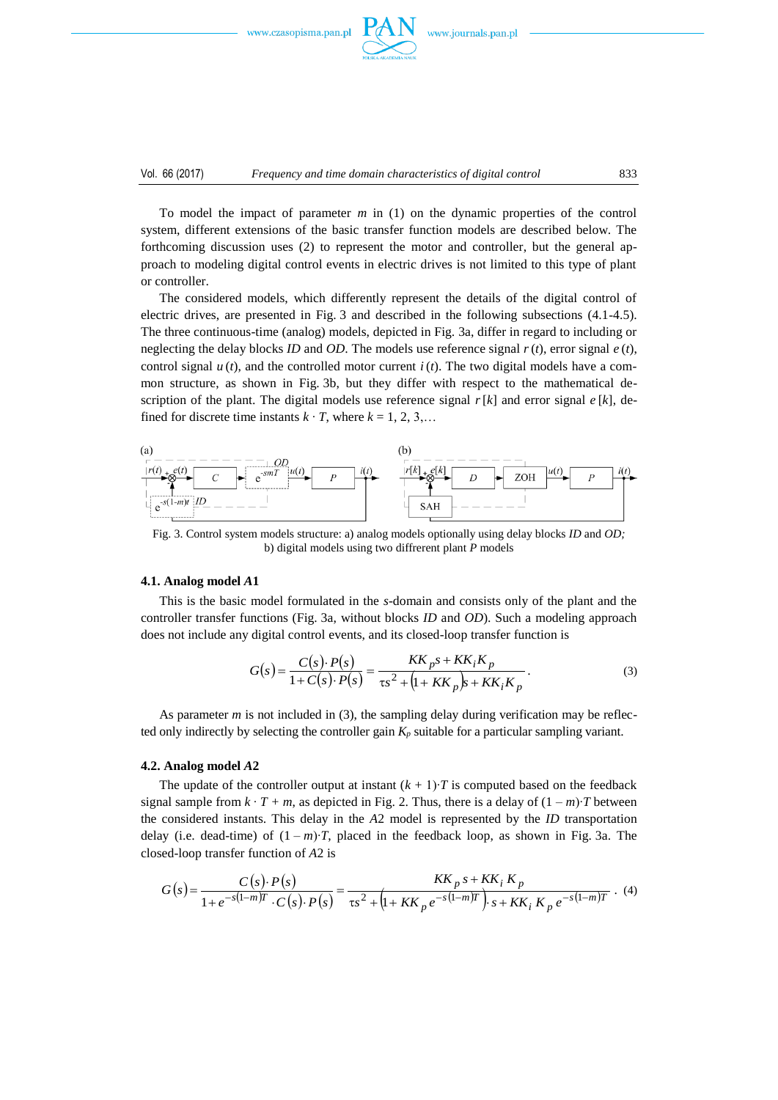



To model the impact of parameter *m* in (1) on the dynamic properties of the control system, different extensions of the basic transfer function models are described below. The forthcoming discussion uses (2) to represent the motor and controller, but the general approach to modeling digital control events in electric drives is not limited to this type of plant or controller.

The considered models, which differently represent the details of the digital control of electric drives, are presented in Fig. 3 and described in the following subsections (4.14.5). The three continuous-time (analog) models, depicted in Fig. 3a, differ in regard to including or neglecting the delay blocks *ID* and *OD*. The models use reference signal *r*(*t*), error signal *e* (*t*), control signal  $u(t)$ , and the controlled motor current  $i(t)$ . The two digital models have a common structure, as shown in Fig. 3b, but they differ with respect to the mathematical description of the plant. The digital models use reference signal  $r[k]$  and error signal  $e[k]$ , defined for discrete time instants  $k \cdot T$ , where  $k = 1, 2, 3, \ldots$ 



Fig. 3. Control system models structure: a) analog models optionally using delay blocks *ID* and *OD;* b) digital models using two diffrerent plant *P* models

#### **4.1. Analog model** *A***1**

This is the basic model formulated in the *s*-domain and consists only of the plant and the controller transfer functions (Fig. 3a, without blocks *ID* and *OD*). Such a modeling approach does not include any digital control events, and its closed-loop transfer function is

$$
G(s) = \frac{C(s) \cdot P(s)}{1 + C(s) \cdot P(s)} = \frac{KK_{p}s + KK_{i}K_{p}}{\tau s^{2} + (1 + KK_{p})s + KK_{i}K_{p}}.
$$
\n(3)

As parameter *m* is not included in (3), the sampling delay during verification may be reflected only indirectly by selecting the controller gain *K<sup>p</sup>* suitable for a particular sampling variant.

#### **4.2. Analog model** *A***2**

The update of the controller output at instant  $(k + 1)$ ⋅*T* is computed based on the feedback signal sample from  $k \cdot T + m$ , as depicted in Fig. 2. Thus, there is a delay of  $(1 - m)T$  between the considered instants. This delay in the *A*2 model is represented by the *ID* transportation delay (i.e. dead-time) of  $(1 - m)$ <sup> $\tau$ </sup>, placed in the feedback loop, as shown in Fig. 3a. The closed-loop transfer function of *A*2 is

$$
G(s) = \frac{C(s) \cdot P(s)}{1 + e^{-s(1-m)T} \cdot C(s) \cdot P(s)} = \frac{KK_p \, s + KK_i \, K_p}{\tau s^2 + \left(1 + KK_p \, e^{-s(1-m)T}\right) \cdot s + KK_i \, K_p \, e^{-s(1-m)T}} \,. \tag{4}
$$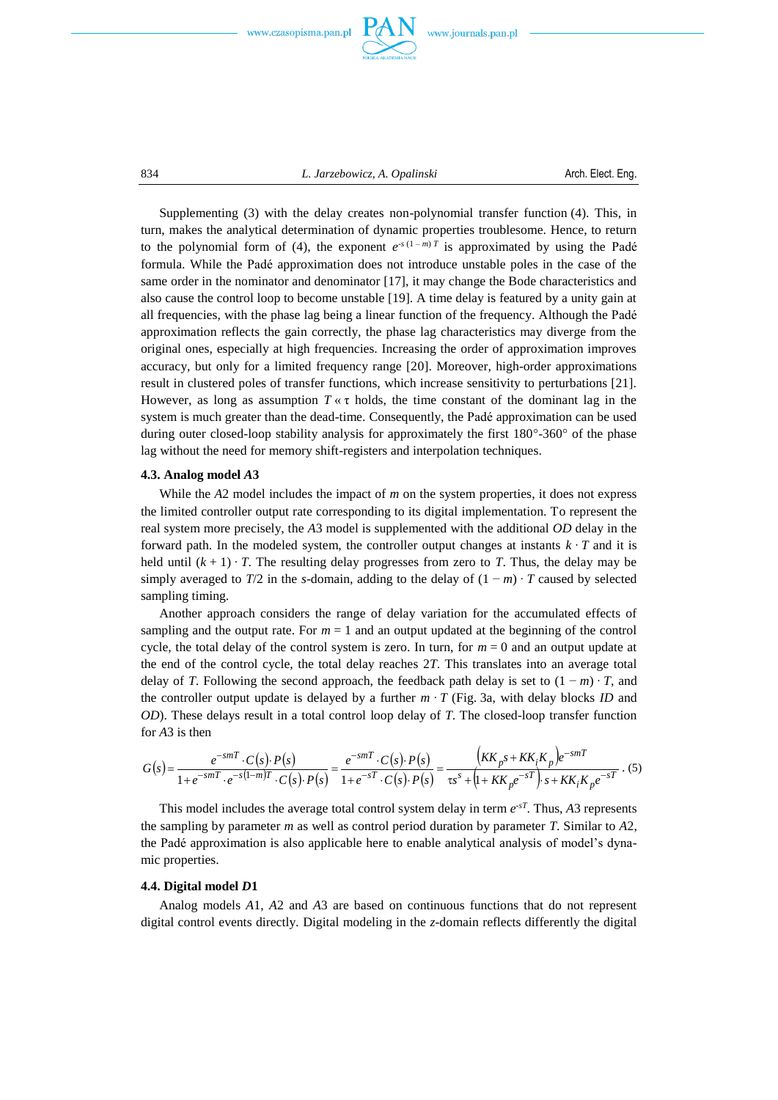



834 *L. Jarzebowicz, A. Opalinski* Arch. Elect. Eng.

Supplementing (3) with the delay creates non-polynomial transfer function (4). This, in turn, makes the analytical determination of dynamic properties troublesome. Hence, to return to the polynomial form of (4), the exponent  $e^{-s(1-m)T}$  is approximated by using the Padé formula. While the Padé approximation does not introduce unstable poles in the case of the same order in the nominator and denominator [17], it may change the Bode characteristics and also cause the control loop to become unstable [19]. A time delay is featured by a unity gain at all frequencies, with the phase lag being a linear function of the frequency. Although the Padé approximation reflects the gain correctly, the phase lag characteristics may diverge from the original ones, especially at high frequencies. Increasing the order of approximation improves accuracy, but only for a limited frequency range [20]. Moreover, high-order approximations result in clustered poles of transfer functions, which increase sensitivity to perturbations [21]. However, as long as assumption  $T \times \tau$  holds, the time constant of the dominant lag in the system is much greater than the dead-time. Consequently, the Padé approximation can be used during outer closed-loop stability analysis for approximately the first 180°-360° of the phase lag without the need for memory shift-registers and interpolation techniques.

#### **4.3. Analog model** *A***3**

While the A<sub>2</sub> model includes the impact of *m* on the system properties, it does not express the limited controller output rate corresponding to its digital implementation. To represent the real system more precisely, the *A*3 model is supplemented with the additional *OD* delay in the forward path. In the modeled system, the controller output changes at instants  $k \cdot T$  and it is held until  $(k + 1) \cdot T$ . The resulting delay progresses from zero to *T*. Thus, the delay may be simply averaged to *T*/2 in the *s*-domain, adding to the delay of  $(1 - m) \cdot T$  caused by selected sampling timing.

Another approach considers the range of delay variation for the accumulated effects of sampling and the output rate. For  $m = 1$  and an output updated at the beginning of the control cycle, the total delay of the control system is zero. In turn, for  $m = 0$  and an output update at the end of the control cycle, the total delay reaches 2*T*. This translates into an average total delay of *T*. Following the second approach, the feedback path delay is set to  $(1 - m) \cdot T$ , and the controller output update is delayed by a further *m ∙ T* (Fig. 3a, with delay blocks *ID* and *OD*). These delays result in a total control loop delay of *T*. The closed-loop transfer function for *A*3 is then

$$
G(s) = \frac{e^{-smT} \cdot C(s) \cdot P(s)}{1 + e^{-smT} \cdot e^{-s(1-m)T} \cdot C(s) \cdot P(s)} = \frac{e^{-smT} \cdot C(s) \cdot P(s)}{1 + e^{-sT} \cdot C(s) \cdot P(s)} = \frac{(KK_{p}s + KK_{i}K_{p})e^{-smT}}{\tau s^{s} + (1 + KK_{p}e^{-sT}) \cdot s + KK_{i}K_{p}e^{-sT}} \tag{5}
$$

This model includes the average total control system delay in term  $e^{-sT}$ . Thus, A3 represents the sampling by parameter *m* as well as control period duration by parameter *T*. Similar to *A*2, the Padé approximation is also applicable here to enable analytical analysis of model's dynamic properties.

#### **4.4. Digital model** *D***1**

Analog models *A*1, *A*2 and *A*3 are based on continuous functions that do not represent digital control events directly. Digital modeling in the *z*-domain reflects differently the digital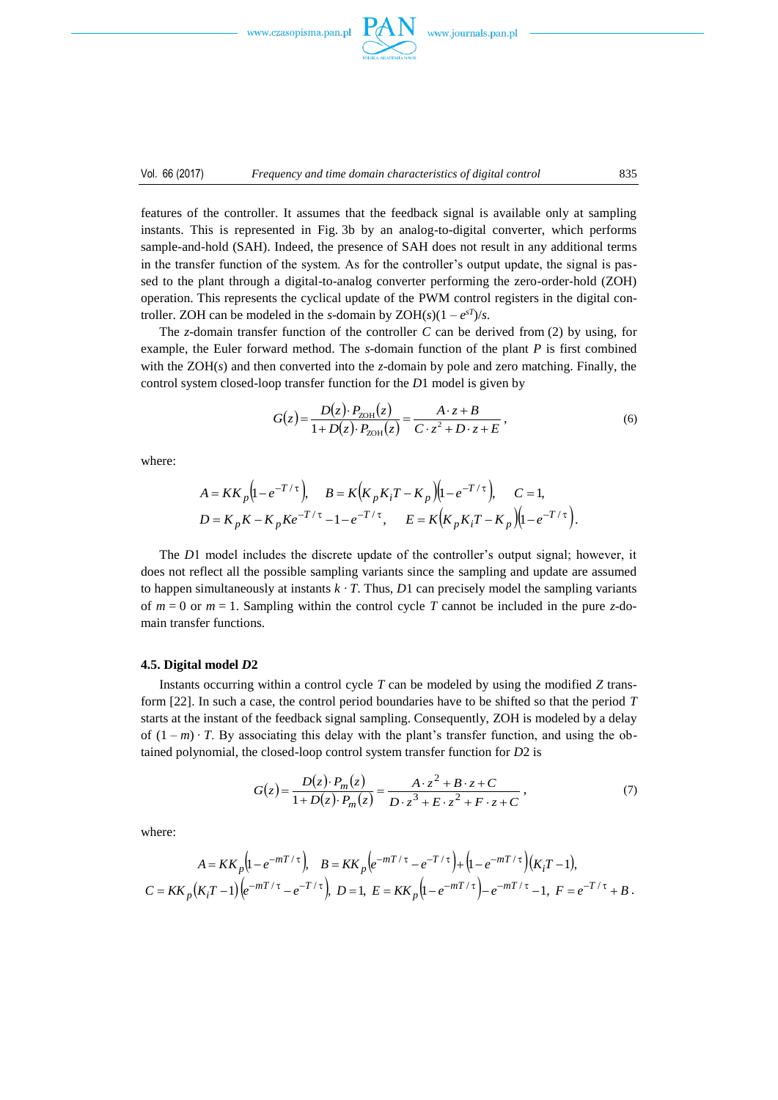

features of the controller. It assumes that the feedback signal is available only at sampling instants. This is represented in Fig. 3b by an analog-to-digital converter, which performs sample-and-hold (SAH). Indeed, the presence of SAH does not result in any additional terms in the transfer function of the system. As for the controller's output update, the signal is passed to the plant through a digital-to-analog converter performing the zero-order-hold (ZOH) operation. This represents the cyclical update of the PWM control registers in the digital controller. ZOH can be modeled in the *s*-domain by  $ZOH(s)(1 - e^{sT})/s$ .

The *z*-domain transfer function of the controller *C* can be derived from (2) by using, for example, the Euler forward method. The *s*-domain function of the plant *P* is first combined with the ZOH(*s*) and then converted into the *z*-domain by pole and zero matching. Finally, the control system closed-loop transfer function for the *D*1 model is given by

$$
G(z) = \frac{D(z) \cdot P_{ZOH}(z)}{1 + D(z) \cdot P_{ZOH}(z)} = \frac{A \cdot z + B}{C \cdot z^2 + D \cdot z + E},
$$
(6)

where:

$$
A = KK_p (1 - e^{-T/\tau}), \qquad B = K(K_p K_i T - K_p)(1 - e^{-T/\tau}), \qquad C = 1,
$$
  

$$
D = K_p K - K_p K e^{-T/\tau} - 1 - e^{-T/\tau}, \qquad E = K(K_p K_i T - K_p)(1 - e^{-T/\tau}).
$$

The *D*1 model includes the discrete update of the controller's output signal; however, it does not reflect all the possible sampling variants since the sampling and update are assumed to happen simultaneously at instants  $k \cdot T$ . Thus, *D*1 can precisely model the sampling variants of  $m = 0$  or  $m = 1$ . Sampling within the control cycle *T* cannot be included in the pure *z*-domain transfer functions.

#### **4.5. Digital model** *D***2**

Instants occurring within a control cycle *T* can be modeled by using the modified *Z* transform [22]. In such a case, the control period boundaries have to be shifted so that the period *T* starts at the instant of the feedback signal sampling. Consequently, ZOH is modeled by a delay of  $(1 - m) \cdot T$ . By associating this delay with the plant's transfer function, and using the obtained polynomial, the closed-loop control system transfer function for *D*2 is

$$
G(z) = \frac{D(z) \cdot P_m(z)}{1 + D(z) \cdot P_m(z)} = \frac{A \cdot z^2 + B \cdot z + C}{D \cdot z^3 + E \cdot z^2 + F \cdot z + C},\tag{7}
$$

where:

$$
A = KK_p \left( 1 - e^{-mT/\tau} \right), \quad B = KK_p \left( e^{-mT/\tau} - e^{-T/\tau} \right) + \left( 1 - e^{-mT/\tau} \right) \left( K_i T - 1 \right),
$$
  

$$
C = KK_p \left( K_i T - 1 \right) \left( e^{-mT/\tau} - e^{-T/\tau} \right), \quad D = 1, \quad E = KK_p \left( 1 - e^{-mT/\tau} \right) - e^{-mT/\tau} - 1, \quad F = e^{-T/\tau} + B.
$$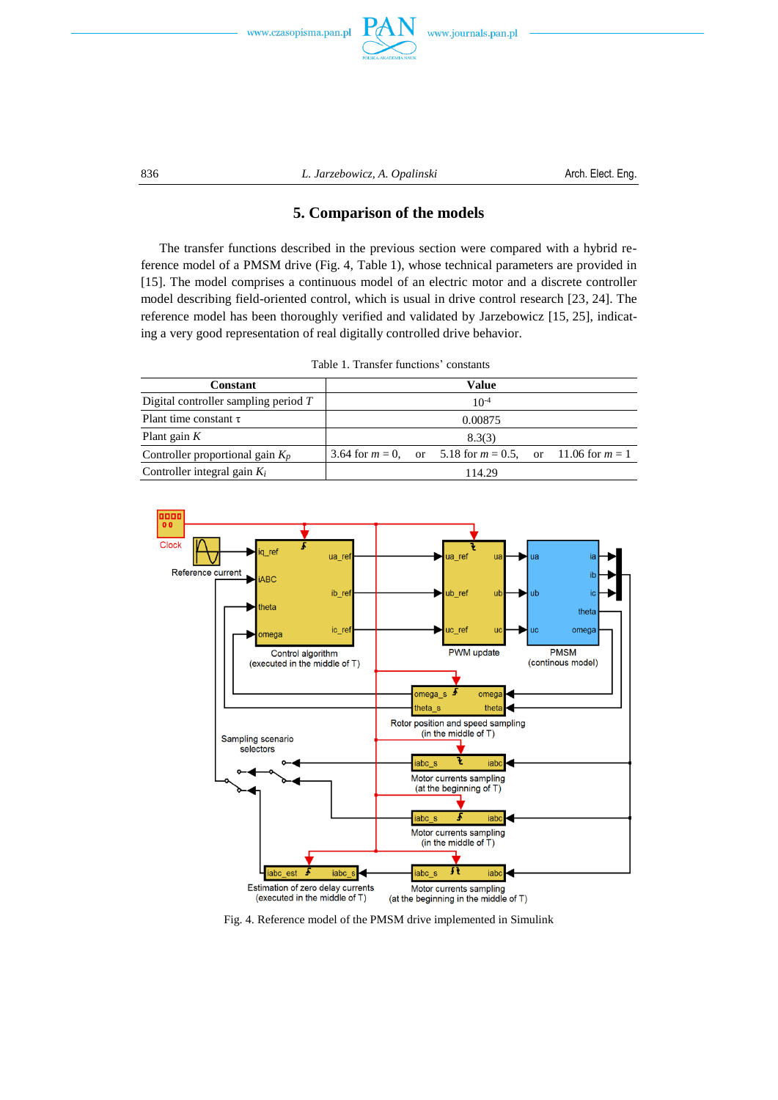



836 *L. Jarzebowicz, A. Opalinski* Arch. Elect. Eng.

# **5. Comparison of the models**

The transfer functions described in the previous section were compared with a hybrid reference model of a PMSM drive (Fig. 4, Table 1), whose technical parameters are provided in [15]. The model comprises a continuous model of an electric motor and a discrete controller model describing field-oriented control, which is usual in drive control research [23, 24]. The reference model has been thoroughly verified and validated by Jarzebowicz [15, 25], indicating a very good representation of real digitally controlled drive behavior.

| <b>LAULE L. LIAUSIEL LUILLIURS CONSTANTS</b> |           |  |                                                                 |  |  |
|----------------------------------------------|-----------|--|-----------------------------------------------------------------|--|--|
| <b>Constant</b>                              | Value     |  |                                                                 |  |  |
| Digital controller sampling period $T$       | $10^{-4}$ |  |                                                                 |  |  |
| Plant time constant $\tau$                   | 0.00875   |  |                                                                 |  |  |
| Plant gain $K$                               |           |  | 8.3(3)                                                          |  |  |
| Controller proportional gain $K_n$           |           |  | 3.64 for $m = 0$ , or 5.18 for $m = 0.5$ , or 11.06 for $m = 1$ |  |  |
| Controller integral gain $K_i$               |           |  | 114.29                                                          |  |  |

Table 1. Transfer functions' constants



Fig. 4. Reference model of the PMSM drive implemented in Simulink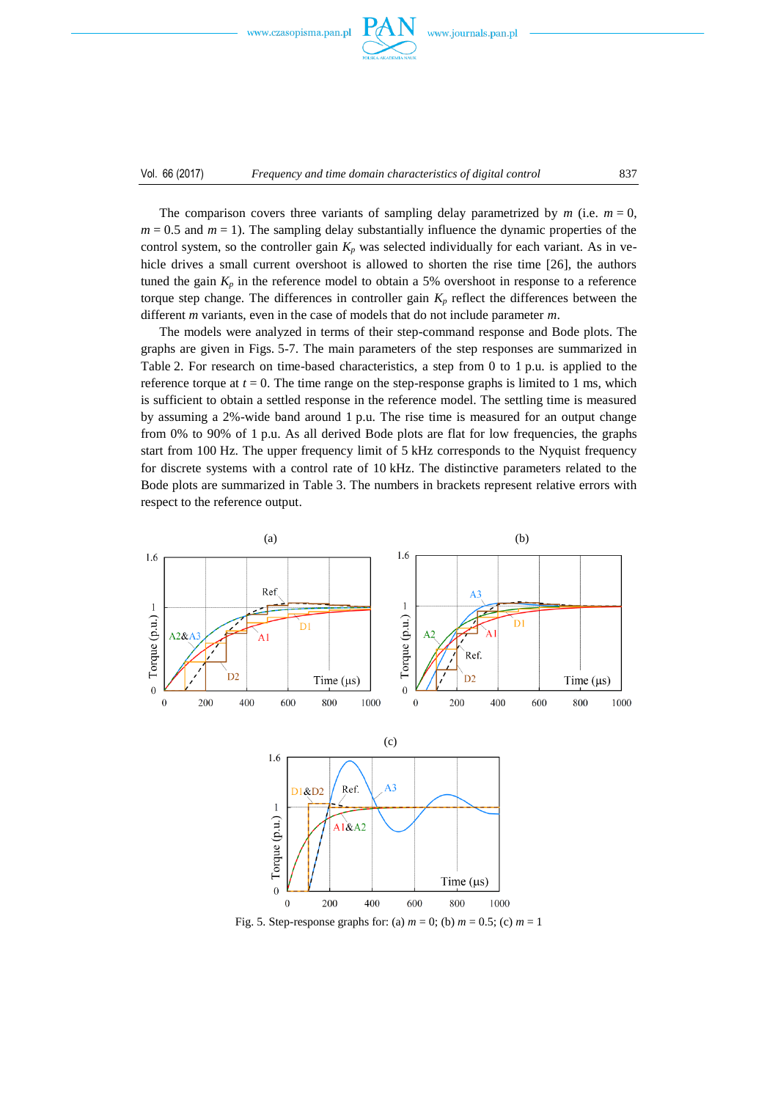

The comparison covers three variants of sampling delay parametrized by  $m$  (i.e.  $m = 0$ ,  $m = 0.5$  and  $m = 1$ ). The sampling delay substantially influence the dynamic properties of the control system, so the controller gain  $K_p$  was selected individually for each variant. As in vehicle drives a small current overshoot is allowed to shorten the rise time [26], the authors tuned the gain  $K_p$  in the reference model to obtain a 5% overshoot in response to a reference torque step change. The differences in controller gain *K<sup>p</sup>* reflect the differences between the different *m* variants, even in the case of models that do not include parameter *m*.

The models were analyzed in terms of their step-command response and Bode plots. The graphs are given in Figs. 5-7. The main parameters of the step responses are summarized in Table 2. For research on time-based characteristics, a step from 0 to 1 p.u. is applied to the reference torque at  $t = 0$ . The time range on the step-response graphs is limited to 1 ms, which is sufficient to obtain a settled response in the reference model. The settling time is measured by assuming a 2%-wide band around 1 p.u. The rise time is measured for an output change from 0% to 90% of 1 p.u. As all derived Bode plots are flat for low frequencies, the graphs start from 100 Hz. The upper frequency limit of 5 kHz corresponds to the Nyquist frequency for discrete systems with a control rate of 10 kHz. The distinctive parameters related to the Bode plots are summarized in Table 3. The numbers in brackets represent relative errors with respect to the reference output.



Fig. 5. Step-response graphs for: (a)  $m = 0$ ; (b)  $m = 0.5$ ; (c)  $m = 1$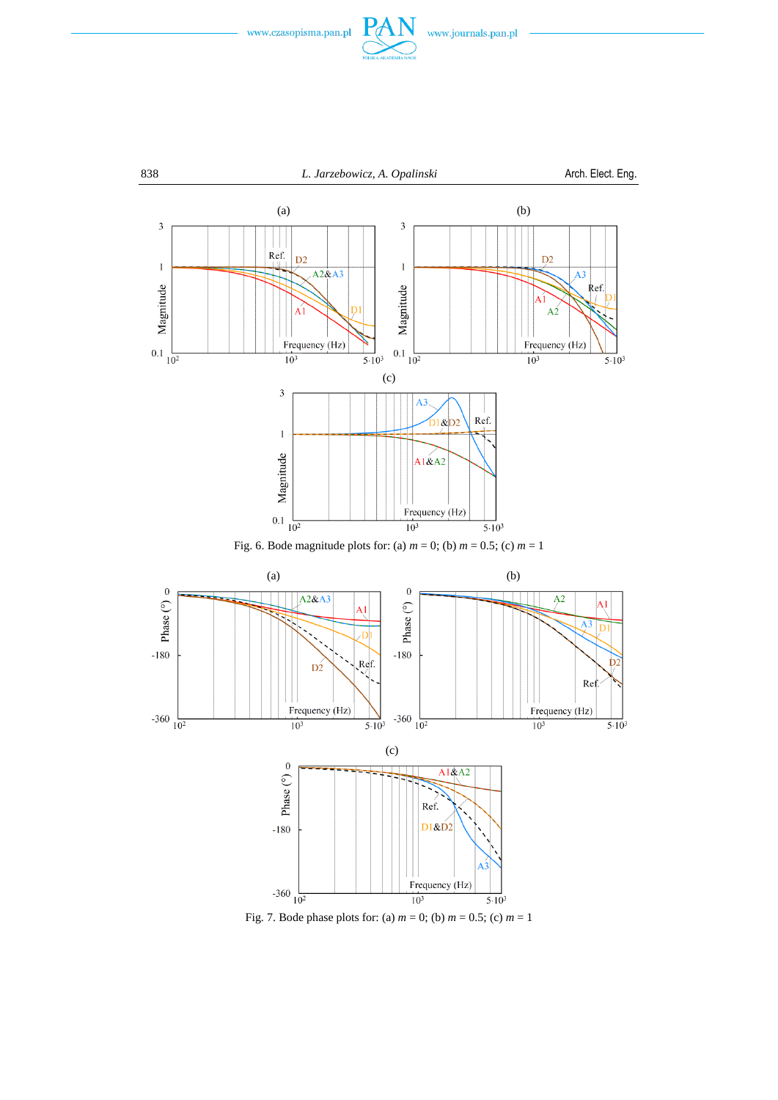



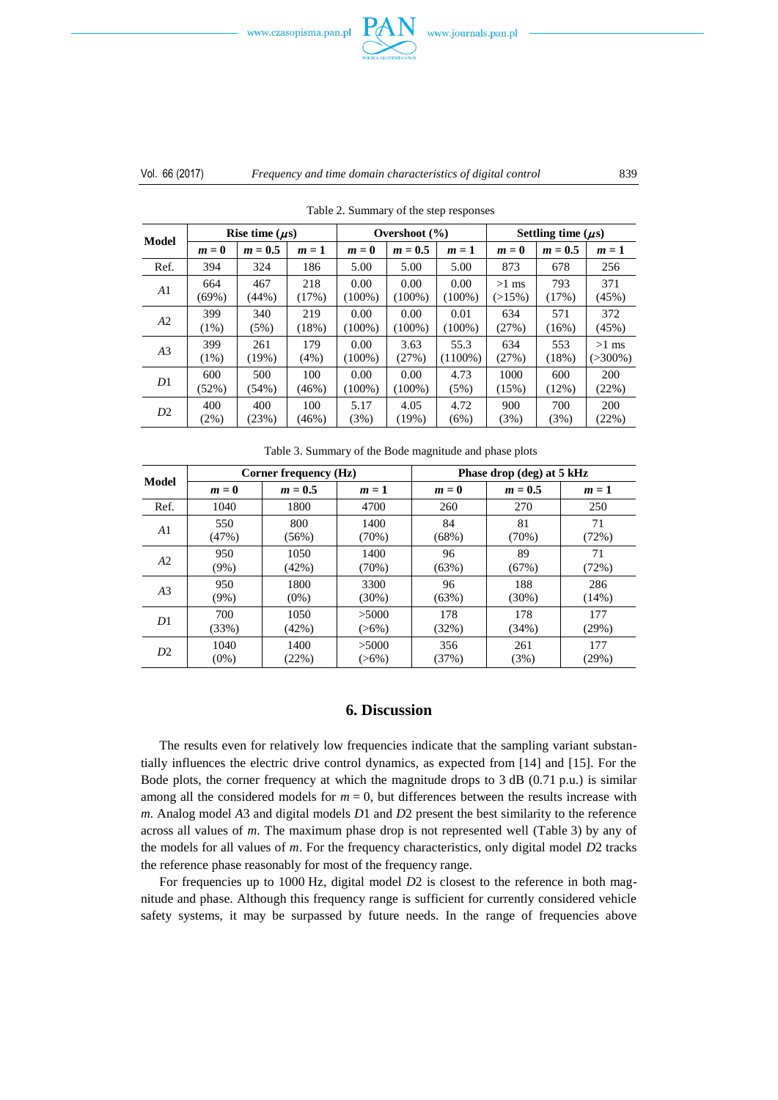

## Vol. 66 (2017) *Frequency and time domain characteristics of digital control* 839

| Model          | Rise time $(\mu s)$ |           |       | Overshoot $(\% )$ |           |            | Settling time $(\mu s)$ |           |              |
|----------------|---------------------|-----------|-------|-------------------|-----------|------------|-------------------------|-----------|--------------|
|                | $m=0$               | $m = 0.5$ | $m=1$ | $m=0$             | $m = 0.5$ | $m=1$      | $m=0$                   | $m = 0.5$ | $m=1$        |
| Ref.           | 394                 | 324       | 186   | 5.00              | 5.00      | 5.00       | 873                     | 678       | 256          |
| A1             | 664                 | 467       | 218   | 0.00              | 0.00      | 0.00       | $>1$ ms                 | 793       | 371          |
|                | (69%)               | (44%)     | (17%) | $(100\%)$         | $(100\%)$ | $(100\%)$  | $(>15\%)$               | (17%)     | (45%)        |
| A2             | 399                 | 340       | 219   | 0.00              | 0.00      | 0.01       | 634                     | 571       | 372          |
|                | $(1\%)$             | (5%)      | (18%) | $(100\%)$         | $(100\%)$ | $(100\%)$  | (27%)                   | (16%)     | (45%)        |
| A <sub>3</sub> | 399                 | 261       | 179   | 0.00              | 3.63      | 55.3       | 634                     | 553       | $>1$ ms      |
|                | $(1\%)$             | (19%)     | (4%)  | $(100\%)$         | (27%)     | $(1100\%)$ | (27%)                   | (18%)     | $( > 300\%)$ |
| D <sub>1</sub> | 600                 | 500       | 100   | 0.00              | 0.00      | 4.73       | 1000                    | 600       | 200          |
|                | (52%)               | $(54\%)$  | (46%) | $(100\%)$         | $(100\%)$ | (5%)       | (15%)                   | $(12\%)$  | (22%)        |
| D2             | 400                 | 400       | 100   | 5.17              | 4.05      | 4.72       | 900                     | 700       | 200          |
|                | (2%)                | (23%)     | (46%) | (3%)              | (19%)     | (6%)       | (3%)                    | (3%)      | (22%)        |

Table 2. Summary of the step responses

| Table 3. Summary of the Bode magnitude and phase plots |  |  |
|--------------------------------------------------------|--|--|
|                                                        |  |  |

| <b>Model</b>   |         | Corner frequency (Hz) |          | Phase drop (deg) at 5 kHz |           |       |  |
|----------------|---------|-----------------------|----------|---------------------------|-----------|-------|--|
|                | $m=0$   | $m = 0.5$             | $m=1$    | $m=0$                     | $m = 0.5$ | $m=1$ |  |
| Ref.           | 1040    | 1800                  | 4700     | 260                       | 270       | 250   |  |
| A1             | 550     | 800                   | 1400     | 84                        | 81        | 71    |  |
|                | (47%)   | $(56\%)$              | (70%)    | (68%)                     | (70%)     | (72%) |  |
| A2             | 950     | 1050                  | 1400     | 96                        | 89        | 71    |  |
|                | $(9\%)$ | (42%)                 | (70%)    | (63%)                     | (67%)     | (72%) |  |
| A <sub>3</sub> | 950     | 1800                  | 3300     | 96                        | 188       | 286   |  |
|                | $(9\%)$ | $(0\%)$               | $(30\%)$ | (63%)                     | $(30\%)$  | (14%) |  |
| D1             | 700     | 1050                  | >5000    | 178                       | 178       | 177   |  |
|                | (33%)   | (42%)                 | $(>6\%)$ | (32%)                     | (34%)     | (29%) |  |
| D2             | 1040    | 1400                  | >5000    | 356                       | 261       | 177   |  |
|                | $(0\%)$ | (22%)                 | $(>6\%)$ | (37%)                     | (3%)      | (29%) |  |

# **6. Discussion**

The results even for relatively low frequencies indicate that the sampling variant substantially influences the electric drive control dynamics, as expected from [14] and [15]. For the Bode plots, the corner frequency at which the magnitude drops to  $3$  dB (0.71 p.u.) is similar among all the considered models for  $m = 0$ , but differences between the results increase with *m*. Analog model *A*3 and digital models *D*1 and *D*2 present the best similarity to the reference across all values of *m*. The maximum phase drop is not represented well (Table 3) by any of the models for all values of *m*. For the frequency characteristics, only digital model *D*2 tracks the reference phase reasonably for most of the frequency range.

For frequencies up to 1000 Hz, digital model *D*2 is closest to the reference in both magnitude and phase. Although this frequency range is sufficient for currently considered vehicle safety systems, it may be surpassed by future needs. In the range of frequencies above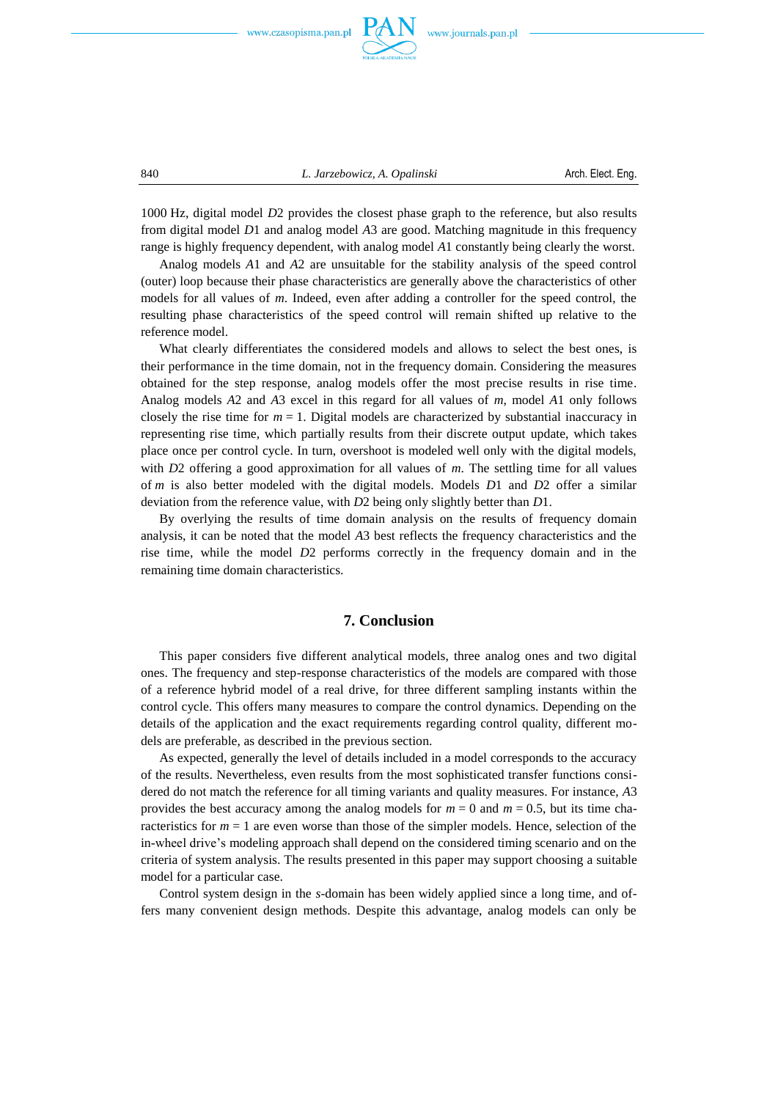

840 *L. Jarzebowicz, A. Opalinski* Arch. Elect. Eng.

1000 Hz, digital model *D*2 provides the closest phase graph to the reference, but also results from digital model *D*1 and analog model *A*3 are good. Matching magnitude in this frequency range is highly frequency dependent, with analog model *A*1 constantly being clearly the worst.

Analog models *A*1 and *A*2 are unsuitable for the stability analysis of the speed control (outer) loop because their phase characteristics are generally above the characteristics of other models for all values of *m*. Indeed, even after adding a controller for the speed control, the resulting phase characteristics of the speed control will remain shifted up relative to the reference model.

What clearly differentiates the considered models and allows to select the best ones, is their performance in the time domain, not in the frequency domain. Considering the measures obtained for the step response, analog models offer the most precise results in rise time. Analog models *A*2 and *A*3 excel in this regard for all values of *m*, model *A*1 only follows closely the rise time for  $m = 1$ . Digital models are characterized by substantial inaccuracy in representing rise time, which partially results from their discrete output update, which takes place once per control cycle. In turn, overshoot is modeled well only with the digital models, with *D*2 offering a good approximation for all values of *m*. The settling time for all values of *m* is also better modeled with the digital models. Models *D*1 and *D*2 offer a similar deviation from the reference value, with *D*2 being only slightly better than *D*1.

By overlying the results of time domain analysis on the results of frequency domain analysis, it can be noted that the model *A*3 best reflects the frequency characteristics and the rise time, while the model *D*2 performs correctly in the frequency domain and in the remaining time domain characteristics.

# **7. Conclusion**

This paper considers five different analytical models, three analog ones and two digital ones. The frequency and step-response characteristics of the models are compared with those of a reference hybrid model of a real drive, for three different sampling instants within the control cycle. This offers many measures to compare the control dynamics. Depending on the details of the application and the exact requirements regarding control quality, different models are preferable, as described in the previous section.

As expected, generally the level of details included in a model corresponds to the accuracy of the results. Nevertheless, even results from the most sophisticated transfer functions considered do not match the reference for all timing variants and quality measures. For instance, *A*3 provides the best accuracy among the analog models for  $m = 0$  and  $m = 0.5$ , but its time characteristics for  $m = 1$  are even worse than those of the simpler models. Hence, selection of the in-wheel drive's modeling approach shall depend on the considered timing scenario and on the criteria of system analysis. The results presented in this paper may support choosing a suitable model for a particular case.

Control system design in the *s*-domain has been widely applied since a long time, and offers many convenient design methods. Despite this advantage, analog models can only be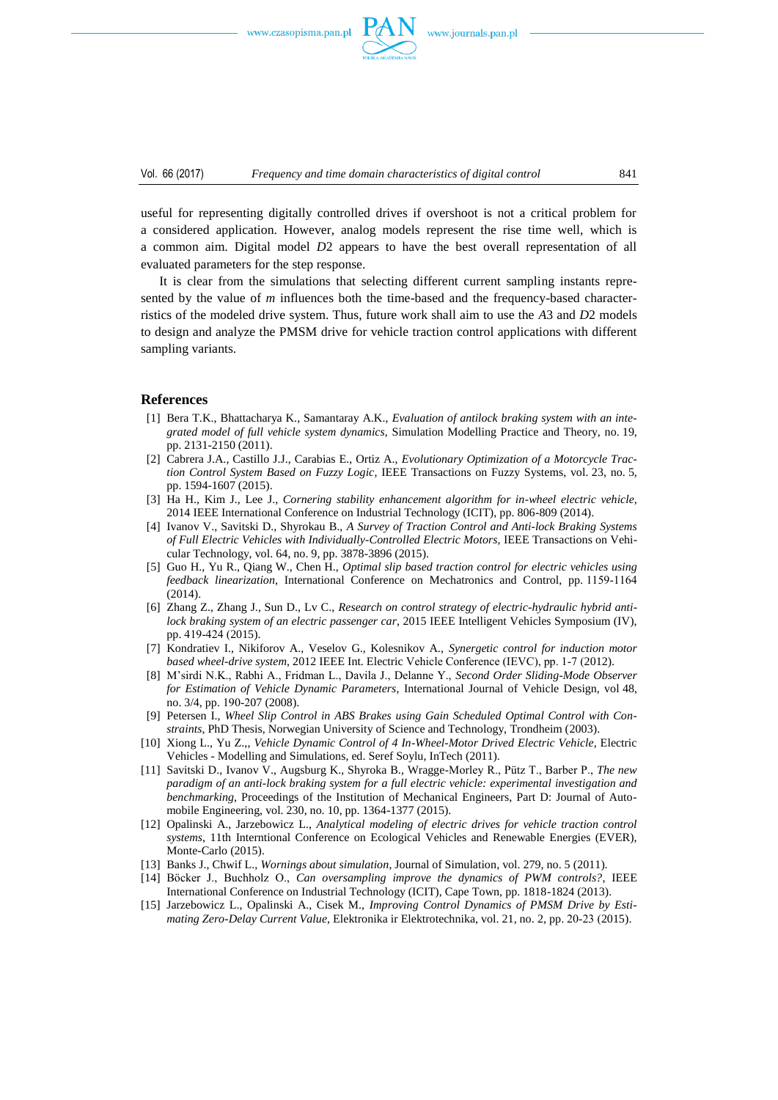

Vol. 66 (2017) *Frequency and time domain characteristics of digital control* 841

useful for representing digitally controlled drives if overshoot is not a critical problem for a considered application. However, analog models represent the rise time well, which is a common aim. Digital model *D*2 appears to have the best overall representation of all evaluated parameters for the step response.

It is clear from the simulations that selecting different current sampling instants represented by the value of *m* influences both the time-based and the frequency-based characterristics of the modeled drive system. Thus, future work shall aim to use the *A*3 and *D*2 models to design and analyze the PMSM drive for vehicle traction control applications with different sampling variants.

#### **References**

- [1] Bera T.K., Bhattacharya K., Samantaray A.K., *Evaluation of antilock braking system with an integrated model of full vehicle system dynamics*, Simulation Modelling Practice and Theory, no. 19, pp. 2131-2150 (2011).
- [2] Cabrera J.A., Castillo J.J., Carabias E., Ortiz A., *Evolutionary Optimization of a Motorcycle Traction Control System Based on Fuzzy Logic*, IEEE Transactions on Fuzzy Systems, vol. 23, no. 5, pp. 1594-1607 (2015).
- [3] Ha H., Kim J., Lee J., *Cornering stability enhancement algorithm for in-wheel electric vehicle*, 2014 IEEE International Conference on Industrial Technology (ICIT), pp. 806-809 (2014).
- [4] Ivanov V., Savitski D., Shyrokau B., *A Survey of Traction Control and Anti-lock Braking Systems of Full Electric Vehicles with Individually-Controlled Electric Motors*, IEEE Transactions on Vehicular Technology, vol. 64, no. 9, pp. 3878-3896 (2015).
- [5] Guo H., Yu R., Qiang W., Chen H., *Optimal slip based traction control for electric vehicles using feedback linearization*, International Conference on Mechatronics and Control, pp. 1159-1164 (2014).
- [6] Zhang Z., Zhang J., Sun D., Lv C., *Research on control strategy of electric-hydraulic hybrid antilock braking system of an electric passenger car*, 2015 IEEE Intelligent Vehicles Symposium (IV), pp. 419424 (2015).
- [7] Kondratiev I., Nikiforov A., Veselov G., Kolesnikov A., *Synergetic control for induction motor based wheel-drive system*, 2012 IEEE Int. Electric Vehicle Conference (IEVC), pp. 17 (2012).
- [8] M'sirdi N.K., Rabhi A., Fridman L., Davila J., Delanne Y., *Second Order Sliding-Mode Observer for Estimation of Vehicle Dynamic Parameters*, International Journal of Vehicle Design, vol 48, no. 3/4, pp. 190-207 (2008).
- [9] Petersen I., *Wheel Slip Control in ABS Brakes using Gain Scheduled Optimal Control with Constraints*, PhD Thesis, Norwegian University of Science and Technology, Trondheim (2003).
- [10] Xiong L., Yu Z.,, *Vehicle Dynamic Control of 4 In-Wheel-Motor Drived Electric Vehicle*, Electric Vehicles - Modelling and Simulations, ed. Seref Soylu, InTech (2011).
- [11] Savitski D., Ivanov V., Augsburg K., Shyroka B., Wragge-Morley R., Pütz T., Barber P., *The new paradigm of an anti-lock braking system for a full electric vehicle: experimental investigation and benchmarking*, Proceedings of the Institution of Mechanical Engineers, Part D: Journal of Automobile Engineering, vol. 230, no. 10, pp. 1364-1377 (2015).
- [12] Opalinski A., Jarzebowicz L., *Analytical modeling of electric drives for vehicle traction control systems*, 11th Interntional Conference on Ecological Vehicles and Renewable Energies (EVER), Monte-Carlo (2015).
- [13] Banks J., Chwif L., *Wornings about simulation*, Journal of Simulation, vol. 279, no. 5 (2011).
- [14] Böcker J., Buchholz O., *Can oversampling improve the dynamics of PWM controls?*, IEEE International Conference on Industrial Technology (ICIT), Cape Town, pp. 1818-1824 (2013).
- [15] Jarzebowicz L., Opalinski A., Cisek M., *Improving Control Dynamics of PMSM Drive by Estimating Zero-Delay Current Value*, Elektronika ir Elektrotechnika, vol. 21, no. 2, pp. 20-23 (2015).